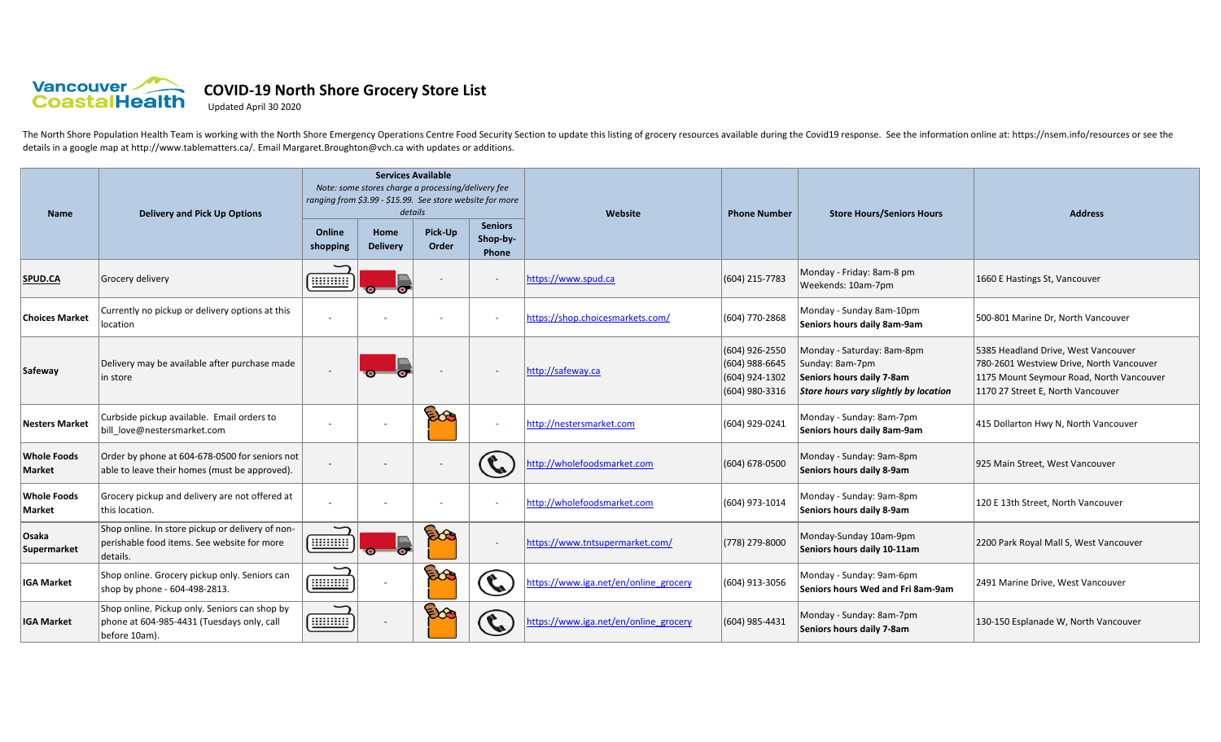

## **COVID-19 North Shore Grocery Store List**

Updated April 30 2020

The North Shore Population Health Team is working with the North Shore Emergency Operations Centre Food Security Section to update this listing of grocery resources available during the Covid19 response. See the informatio details in a google map at http://www.tablematters.ca/. Email Margaret.Broughton@vch.ca with updates or additions.

| <b>Name</b>                  | <b>Delivery and Pick Up Options</b>                                                                          | <b>Services Available</b><br>Note: some stores charge a processing/delivery fee<br>ranging from \$3.99 - \$15.99. See store website for more<br>details |                          |                  |                                     | Website                               | <b>Phone Number</b>                                                  | <b>Store Hours/Seniors Hours</b>                                                                                    | <b>Address</b>                                                                                                                                                   |
|------------------------------|--------------------------------------------------------------------------------------------------------------|---------------------------------------------------------------------------------------------------------------------------------------------------------|--------------------------|------------------|-------------------------------------|---------------------------------------|----------------------------------------------------------------------|---------------------------------------------------------------------------------------------------------------------|------------------------------------------------------------------------------------------------------------------------------------------------------------------|
|                              |                                                                                                              | Online<br>shopping                                                                                                                                      | Home<br><b>Delivery</b>  | Pick-Up<br>Order | <b>Seniors</b><br>Shop-by-<br>Phone |                                       |                                                                      |                                                                                                                     |                                                                                                                                                                  |
| SPUD.CA                      | Grocery delivery                                                                                             | 11111111                                                                                                                                                | $\sim$                   |                  | $\overline{\phantom{a}}$            | https://www.spud.ca                   | (604) 215-7783                                                       | Monday - Friday: 8am-8 pm<br>Weekends: 10am-7pm                                                                     | 1660 E Hastings St, Vancouver                                                                                                                                    |
| <b>Choices Market</b>        | Currently no pickup or delivery options at this<br>location                                                  |                                                                                                                                                         |                          |                  | $\overline{\phantom{a}}$            | https://shop.choicesmarkets.com/      | (604) 770-2868                                                       | Monday - Sunday 8am-10pm<br>Seniors hours daily 8am-9am                                                             | 500-801 Marine Dr, North Vancouver                                                                                                                               |
| Safeway                      | Delivery may be available after purchase made<br>in store                                                    |                                                                                                                                                         | $\bullet$                |                  | $\overline{\phantom{a}}$            | http://safeway.ca                     | (604) 926-2550<br>(604) 988-6645<br>(604) 924-1302<br>(604) 980-3316 | Monday - Saturday: 8am-8pm<br>Sunday: 8am-7pm<br>Seniors hours daily 7-8am<br>Store hours vary slightly by location | 5385 Headland Drive, West Vancouver<br>780-2601 Westview Drive, North Vancouver<br>1175 Mount Seymour Road, North Vancouver<br>1170 27 Street E, North Vancouver |
| <b>Nesters Market</b>        | Curbside pickup available. Email orders to<br>bill love@nestersmarket.com                                    |                                                                                                                                                         | $\overline{\phantom{a}}$ | Eo               | $\sim$                              | http://nestersmarket.com              | (604) 929-0241                                                       | Monday - Sunday: 8am-7pm<br>Seniors hours daily 8am-9am                                                             | 415 Dollarton Hwy N, North Vancouver                                                                                                                             |
| <b>Whole Foods</b><br>Market | Order by phone at 604-678-0500 for seniors not<br>able to leave their homes (must be approved).              |                                                                                                                                                         |                          |                  | C,                                  | http://wholefoodsmarket.com           | (604) 678-0500                                                       | Monday - Sunday: 9am-8pm<br>Seniors hours daily 8-9am                                                               | 925 Main Street, West Vancouver                                                                                                                                  |
| <b>Whole Foods</b><br>Market | Grocery pickup and delivery are not offered at<br>this location.                                             |                                                                                                                                                         |                          |                  | $\sim$                              | http://wholefoodsmarket.com           | (604) 973-1014                                                       | Monday - Sunday: 9am-8pm<br>Seniors hours daily 8-9am                                                               | 120 E 13th Street, North Vancouver                                                                                                                               |
| Osaka<br>Supermarket         | Shop online. In store pickup or delivery of non-<br>perishable food items. See website for more<br>details.  | $\overline{\phantom{0}}$<br><u>ummu</u>                                                                                                                 | $\bullet$                | Eog              | $\equiv$                            | https://www.tntsupermarket.com/       | (778) 279-8000                                                       | Monday-Sunday 10am-9pm<br>Seniors hours daily 10-11am                                                               | 2200 Park Royal Mall S, West Vancouver                                                                                                                           |
| <b>IGA Market</b>            | Shop online. Grocery pickup only. Seniors can<br>shop by phone - 604-498-2813.                               | <b>THE REAL</b>                                                                                                                                         |                          | Ebe              | $\mathcal{C}_1$                     | https://www.iga.net/en/online grocery | (604) 913-3056                                                       | Monday - Sunday: 9am-6pm<br>Seniors hours Wed and Fri 8am-9am                                                       | 2491 Marine Drive, West Vancouver                                                                                                                                |
| <b>IGA Market</b>            | Shop online. Pickup only. Seniors can shop by<br>phone at 604-985-4431 (Tuesdays only, call<br>before 10am). | <b>THE REAL</b>                                                                                                                                         | $\overline{\phantom{a}}$ |                  | $\mathbf{C}$                        | https://www.iga.net/en/online grocery | (604) 985-4431                                                       | Monday - Sunday: 8am-7pm<br>Seniors hours daily 7-8am                                                               | 130-150 Esplanade W, North Vancouver                                                                                                                             |